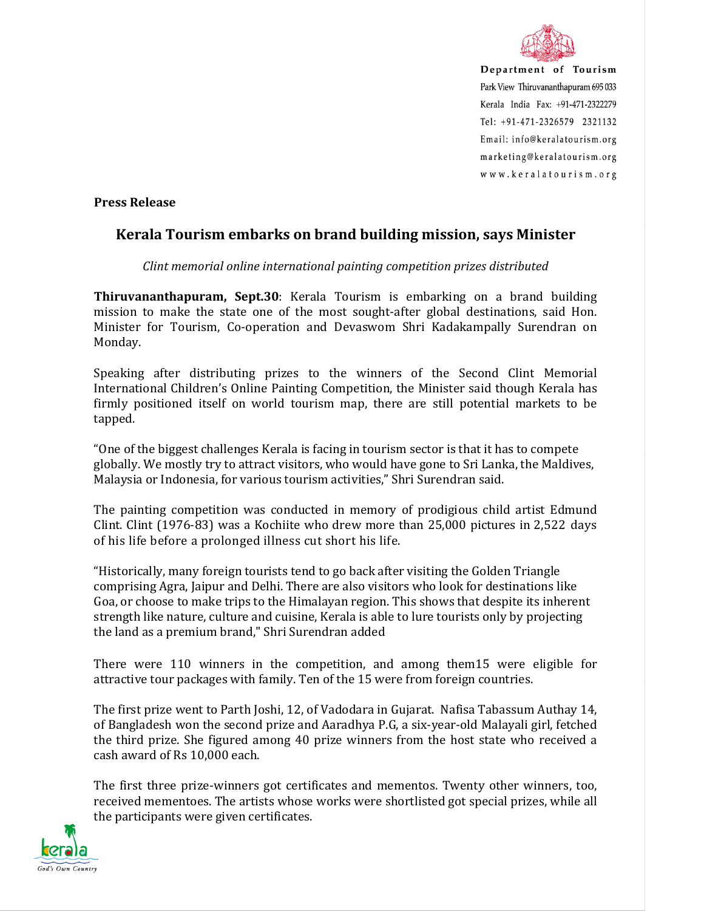

Department of Tourism Park View Thiruvananthapuram 695 033 Kerala India Fax: +91-471-2322279 Tel: +91-471-2326579 2321132 Email: info@keralatourism.org marketing@keralatourism.org www.keralatourism.org

**Press Release** 

## **Kerala Tourism embarks on brand building mission, says Minister**

*Clint memorial online international painting competition prizes distributed* 

**Thiruvananthapuram, Sept.30**: Kerala Tourism is embarking on a brand building mission to make the state one of the most sought-after global destinations, said Hon. Minister for Tourism, Co-operation and Devaswom Shri Kadakampally Surendran on Monday.

Speaking after distributing prizes to the winners of the Second Clint Memorial International Children's Online Painting Competition, the Minister said though Kerala has firmly positioned itself on world tourism map, there are still potential markets to be tapped.

"One of the biggest challenges Kerala is facing in tourism sector is that it has to compete globally. We mostly try to attract visitors, who would have gone to Sri Lanka, the Maldives, Malaysia or Indonesia, for various tourism activities," Shri Surendran said.

The painting competition was conducted in memory of prodigious child artist Edmund Clint. Clint (1976-83) was a Kochiite who drew more than 25,000 pictures in 2,522 days of his life before a prolonged illness cut short his life.

"Historically, many foreign tourists tend to go back after visiting the Golden Triangle comprising Agra, Jaipur and Delhi. There are also visitors who look for destinations like Goa, or choose to make trips to the Himalayan region. This shows that despite its inherent strength like nature, culture and cuisine, Kerala is able to lure tourists only by projecting the land as a premium brand," Shri Surendran added

There were 110 winners in the competition, and among them15 were eligible for attractive tour packages with family. Ten of the 15 were from foreign countries.

The first prize went to Parth Joshi, 12, of Vadodara in Gujarat. Nafisa Tabassum Authay 14, of Bangladesh won the second prize and Aaradhya P.G, a six-year-old Malayali girl, fetched the third prize. She figured among 40 prize winners from the host state who received a cash award of Rs 10,000 each.

The first three prize-winners got certificates and mementos. Twenty other winners, too, received mementoes. The artists whose works were shortlisted got special prizes, while all the participants were given certificates.